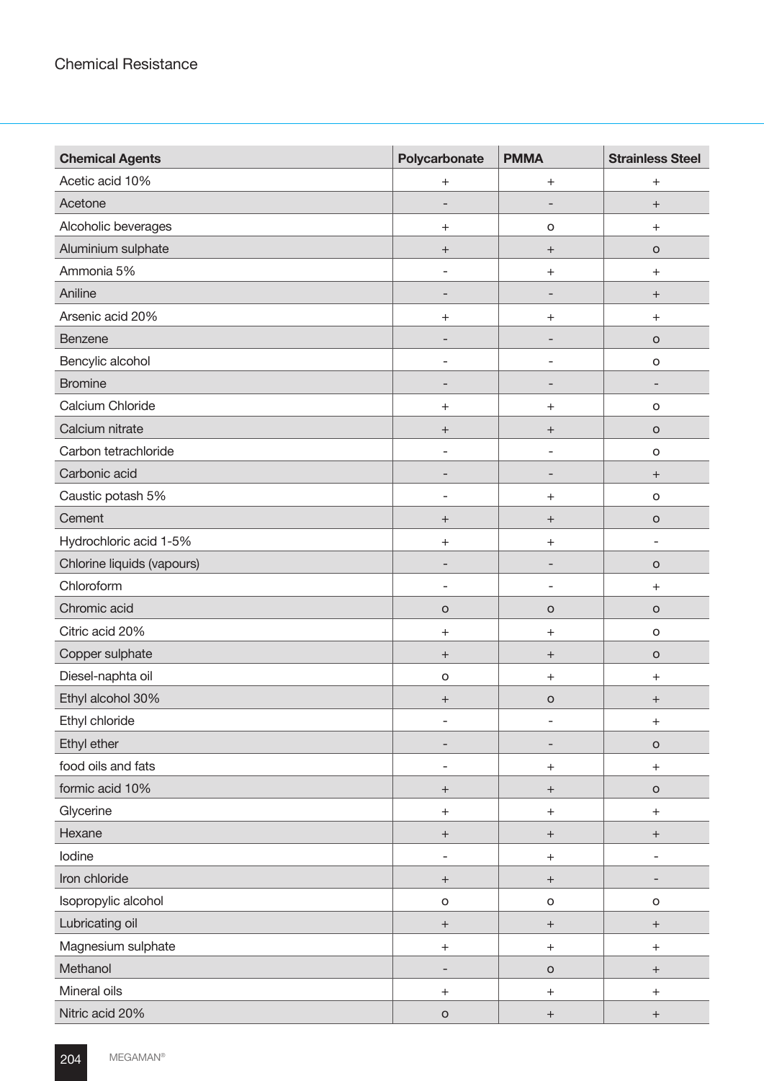| <b>Chemical Agents</b>     | Polycarbonate                    | <b>PMMA</b>                      | <b>Strainless Steel</b>          |
|----------------------------|----------------------------------|----------------------------------|----------------------------------|
| Acetic acid 10%            | $\begin{array}{c} + \end{array}$ | $\boldsymbol{+}$                 | $\begin{array}{c} + \end{array}$ |
| Acetone                    | -                                |                                  | $^{+}$                           |
| Alcoholic beverages        | $\qquad \qquad +$                | $\mathsf O$                      | $\begin{array}{c} + \end{array}$ |
| Aluminium sulphate         | $\boldsymbol{+}$                 | $\boldsymbol{+}$                 | $\circ$                          |
| Ammonia 5%                 | $\overline{\phantom{0}}$         | $\! + \!\!\!\!$                  | $\begin{array}{c} + \end{array}$ |
| Aniline                    | $\overline{\phantom{a}}$         | -                                | $\boldsymbol{+}$                 |
| Arsenic acid 20%           | $\begin{array}{c} + \end{array}$ | $\boldsymbol{+}$                 | $\begin{array}{c} + \end{array}$ |
| Benzene                    |                                  |                                  | $\circ$                          |
| Bencylic alcohol           | $\overline{\phantom{a}}$         | ÷                                | $\mathsf O$                      |
| <b>Bromine</b>             | $\qquad \qquad \blacksquare$     | -                                | -                                |
| Calcium Chloride           | $^{+}$                           | $^{+}$                           | $\mathsf O$                      |
| Calcium nitrate            | $\qquad \qquad +$                | $^{+}$                           | $\mathsf O$                      |
| Carbon tetrachloride       | $\qquad \qquad \blacksquare$     | -                                | $\mathsf{o}$                     |
| Carbonic acid              | ٠                                | -                                | $^{+}$                           |
| Caustic potash 5%          |                                  | $\! + \!\!\!\!$                  | $\mathsf O$                      |
| Cement                     | $\boldsymbol{+}$                 | $\boldsymbol{+}$                 | $\mathsf O$                      |
| Hydrochloric acid 1-5%     | $\begin{array}{c} + \end{array}$ | $\boldsymbol{+}$                 | $\overline{a}$                   |
| Chlorine liquids (vapours) | $\qquad \qquad \blacksquare$     | $\overline{a}$                   | $\circ$                          |
| Chloroform                 | $\overline{\phantom{m}}$         | $\overline{\phantom{0}}$         | $\begin{array}{c} + \end{array}$ |
| Chromic acid               | $\circ$                          | $\circ$                          | $\circ$                          |
| Citric acid 20%            | $^{+}$                           | $\mathrm{+}$                     | $\circ$                          |
| Copper sulphate            | $\boldsymbol{+}$                 | $\begin{array}{c} + \end{array}$ | $\circ$                          |
| Diesel-naphta oil          | $\mathsf{o}$                     | $^{+}$                           | $^{+}$                           |
| Ethyl alcohol 30%          | $\ddot{}$                        | $\mathsf O$                      | $^{+}$                           |
| Ethyl chloride             | -                                | $\overline{a}$                   | $^{+}$                           |
| Ethyl ether                | $\qquad \qquad \blacksquare$     | -                                | $\circ$                          |
| food oils and fats         | $\overline{\phantom{a}}$         | $\boldsymbol{+}$                 | $\boldsymbol{+}$                 |
| formic acid 10%            | $^+$                             | $\boldsymbol{+}$                 | $\circ$                          |
| Glycerine                  | $\! + \!$                        | $\boldsymbol{+}$                 | $\boldsymbol{+}$                 |
| Hexane                     | $\boldsymbol{+}$                 | $^+$                             | $\boldsymbol{+}$                 |
| lodine                     | $\overline{\phantom{0}}$         | $\boldsymbol{+}$                 | $\overline{\phantom{0}}$         |
| Iron chloride              | $\boldsymbol{+}$                 | $^+$                             | -                                |
| Isopropylic alcohol        | $\mathsf{o}$                     | $\mathsf{o}$                     | $\mathsf{o}$                     |
| Lubricating oil            | $\boldsymbol{+}$                 | $^+$                             | $^{+}$                           |
| Magnesium sulphate         | $\boldsymbol{+}$                 | $\boldsymbol{+}$                 | $^{\mathrm{+}}$                  |
| Methanol                   | $\overline{\phantom{a}}$         | $\circ$                          | $\boldsymbol{+}$                 |
| Mineral oils               | $\begin{array}{c} + \end{array}$ | $^{+}$                           | $^{+}$                           |
| Nitric acid 20%            | $\mathsf O$                      | $\boldsymbol{+}$                 | $\boldsymbol{+}$                 |